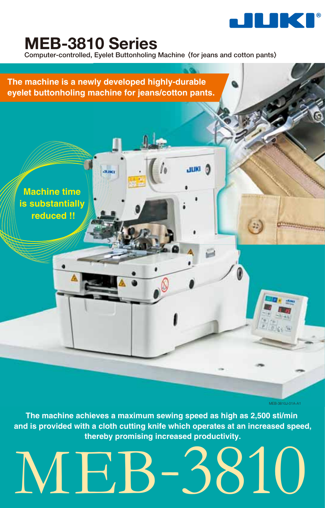

# **MEB-3810 Series**

**Computer-controlled, Eyelet Buttonholing Machine** 〈**for jeans and cotton pants**〉

 $J<sub>THM</sub>$ 

# **The machine is a newly developed highly-durable eyelet buttonholing machine for jeans/cotton pants.**

.<br>Mund

**Machine time is substantially reduced !!**

MEB-3810J-01A-A1

**The machine achieves a maximum sewing speed as high as 2,500 sti/min and is provided with a cloth cutting knife which operates at an increased speed, thereby promising increased productivity.**

# MEB-3810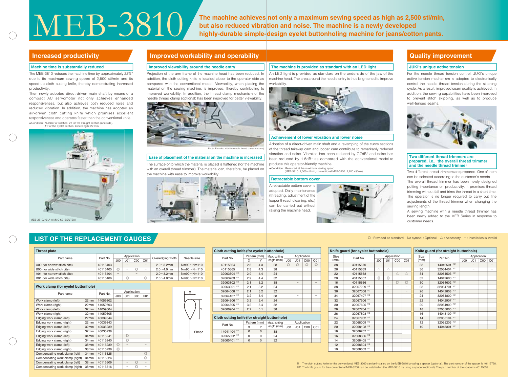The machine achieves not only a maximum sewing speed as high as 2,500 sti/min,<br>but also reduced vibration and noise. The machine is a newly developed<br>highly-durable simple-design eyelet buttonholing machine for jeans/cotto **but also reduced vibration and noise. The machine is a newly developed highly-durable simple-design eyelet buttonholing machine for jeans/cotton pants.** 

> Projection of the arm frame of the machine head has been reduced. In addition, the cloth cutting knife is located closer to the operator side as compared with the conventional model. Viewability, when placing the material on the sewing machine, is improved, thereby contributing to improved workability. In addition, the thread clamp mechanism of the needle thread clamp (optional) has been improved for better viewability.

An LED light is provided as standard on the underside of the jaw of the machine head. The area around the needle entry is thus brightened to improve workability

The surface onto which the material is placed is flattened (for the machine with an overall thread trimmer). The material can, therefore, be placed on the machine with ease to improve workability.



# **Increased productivity**

| <b>Throat plate</b>                |          |                 |                          |                 |                 |                   |                        |  |
|------------------------------------|----------|-----------------|--------------------------|-----------------|-----------------|-------------------|------------------------|--|
| Part name                          |          |                 |                          | Application     |                 |                   | Needle size            |  |
|                                    | Part No. | J <sub>00</sub> | J <sub>01</sub>          | C <sub>00</sub> | CO <sub>1</sub> | Overedging width  |                        |  |
| A00 (for narrow stitch bite)       | 40115403 |                 | $\overline{\phantom{a}}$ |                 |                 | $2.0 \sim 3.2$ mm | $Nm90^\sim Nm110$      |  |
| B00 (for wide stitch bite)         | 40115405 | O               |                          | $\circledcirc$  |                 | $2.0 - 4.0$ mm    | $Nm90\nthicksim Nm110$ |  |
| A01 (for narrow stitch bite)       | 40115404 | -               |                          |                 |                 | $2.0 \sim 3.2$ mm | $Nm90^\sim Nm110$      |  |
| B01 (for wide stitch bite)         | 40115406 |                 | $\circledcirc$           |                 | $\circledcirc$  | $2.0 - 4.0$ mm    | $Nm90 \sim Nm110$      |  |
|                                    |          |                 |                          |                 |                 |                   |                        |  |
| Work clamp (for eyelet buttonhole) |          |                 |                          |                 |                 |                   |                        |  |
|                                    |          | Application     |                          |                 | X               |                   |                        |  |
| Part name                          | Part No. | J <sub>00</sub> | J <sub>01</sub>          | C <sub>00</sub> | C <sub>01</sub> |                   |                        |  |

# **Improved workability and operability**



A retractable bottom cover is adopted. Daily maintenance (threading, adjustment of the looper thread, cleaning, etc.) can be carried out without raising the machine head.



# LIST OF THE REPLACEMENT GAUGES invalid

|                                 | Part No.         | Application |                |                 |                 |                |
|---------------------------------|------------------|-------------|----------------|-----------------|-----------------|----------------|
| Part name                       |                  |             | JOO            | J <sub>01</sub> | C <sub>00</sub> | C01            |
| Work clamp (left)               | 22mm             | 14059802    |                |                 |                 |                |
| Work clamp (right)              | 22mm             | 14059703    |                |                 |                 |                |
| Work clamp (left)               | 32mm             | 14059604    |                |                 |                 |                |
| Work clamp (right)              | 32mm             | 14059605    |                |                 |                 |                |
| Edging work clamp (left)        | 22mm             | 40039844    |                |                 |                 |                |
| Edging work clamp (right)       | 22mm             | 40039843    |                |                 |                 |                |
| Edging work clamp (left)        | 32 <sub>mm</sub> | 40035239    |                |                 |                 |                |
| Edging work clamp (right)       | 32mm             | 40035238    |                |                 |                 |                |
| Edging work clamp (left)        | 34 <sub>mm</sub> | 40115241    |                | $\circledcirc$  |                 |                |
| Edging work clamp (right)       | 34mm             | 40115240    |                | $\circledcirc$  |                 |                |
| Edging work clamp (left)        | 38mm             | 40115239    | $\circledcirc$ |                 |                 |                |
| Edging work clamp (right)       | 38mm             | 40115238    | $\circledcirc$ |                 |                 |                |
| Compensating work clamp (left)  | 34mm             | 40115325    |                |                 |                 | $\circledcirc$ |
| Compensating work clamp (right) | 34mm             | 40115324    |                |                 |                 | $\circledcirc$ |
| Compensating work clamp (left)  | 38mm             | 40115309    |                |                 | $\circledcirc$  | -              |
| Compensating work clamp (right) | 38mm             | 40115316    |                |                 | O               |                |



Photo: Provided with the needle thread clamp (optional)

| Cloth cutting knife (for eyelet buttonhole)   |                        |              |                  |                 |                |                 |                 |
|-----------------------------------------------|------------------------|--------------|------------------|-----------------|----------------|-----------------|-----------------|
| Part No.                                      |                        | Pattern (mm) | Max. cutting     |                 |                |                 |                 |
|                                               | x                      | Y            | length (mm)      | J <sub>00</sub> | J01            | C <sub>00</sub> | C <sub>01</sub> |
| 40115664                                      | 2.8                    | 4.3          | 28               | O               | $\circledcirc$ | $\circledcirc$  | $\circledcirc$  |
| 40115665                                      | 2.8                    | 4.3          | 38               |                 |                |                 |                 |
| %1<br>32063604                                | 2.9                    | 4.4          | 24               |                 |                |                 |                 |
| ※1<br>32063703                                | 2.9                    | 4.4          | 32               |                 |                |                 |                 |
| <b>※1</b><br>32063802                         | 2.1                    | 3.2          | 38               |                 |                |                 |                 |
| ※1<br>32063901                                | 2.1                    | 3.2          | 24               |                 |                |                 |                 |
| 32064008<br><b>※1</b>                         | 2.1                    | 3.2          | 32               |                 |                |                 |                 |
| ※1<br>32064107                                | 3.2                    | 5.4          | 38               |                 |                |                 |                 |
| 32064206 *1                                   | 3.2                    | 5.4          | 24               |                 |                |                 |                 |
| ※1<br>32064305                                | 3.2                    | 5.4          | 32               |                 |                |                 |                 |
| 32066904 *1                                   | 2.7                    | 5.1          | 38               |                 |                |                 |                 |
|                                               |                        |              |                  |                 |                |                 |                 |
| Cloth cutting knife (for straight buttonhole) |                        |              |                  |                 |                |                 |                 |
|                                               |                        | Pattern (mm) | Max. cutting     | Application     |                |                 |                 |
| Part No.                                      | $\lambda$<br>$\lambda$ |              | $l$ ongth $(mm)$ | $\sim$          | $\sim$         | $\sim$          | $\sim$ $\sim$   |

|  |             | . | . | .             |                 |                 |                 |                 |
|--|-------------|---|---|---------------|-----------------|-----------------|-----------------|-----------------|
|  | Part No.    |   |   | length $(mm)$ | J <sub>00</sub> | J <sub>01</sub> | C <sub>00</sub> | C <sub>01</sub> |
|  | 14041404 ** |   |   | 38            |                 |                 |                 |                 |
|  | 32065302 ** |   |   | 24            |                 |                 |                 |                 |
|  | 32065401 ** |   |   | 32            |                 |                 |                 |                 |

| Knife guard (for eyelet buttonhole) |               |                 |                          |                 |                          | Knife guard (for straight buttonhole) |               |                 |                          |                 |                          |
|-------------------------------------|---------------|-----------------|--------------------------|-----------------|--------------------------|---------------------------------------|---------------|-----------------|--------------------------|-----------------|--------------------------|
| Size                                | Part No.      |                 |                          | Application     |                          | Size                                  | Part No.      | Application     |                          |                 |                          |
| (mm)                                |               | J <sub>00</sub> | J <sub>01</sub>          | C <sub>00</sub> | CO <sub>1</sub>          | (mm)                                  |               | J <sub>00</sub> | J <sub>01</sub>          | C <sub>00</sub> | C <sub>01</sub>          |
| 38                                  | 40115670      |                 |                          |                 |                          | 38                                    | 14042501 ** 2 |                 | $\overline{\phantom{0}}$ |                 | $\overline{\phantom{0}}$ |
| 26                                  | 40115669      | $\triangle$     | $\triangle$              |                 |                          | 36                                    | 32064404 ** 2 |                 | $\overline{\phantom{0}}$ |                 | $\overline{\phantom{0}}$ |
| 22                                  | 40115668      |                 |                          | $\triangle$     | $\triangle$              | 34                                    | 32064503 **2  |                 |                          |                 |                          |
| 20                                  | 40115667      | $\circledcirc$  | $\circledcirc$           |                 |                          | 32                                    | 14042600 **2  |                 |                          |                 |                          |
| 16                                  | 40115666      |                 |                          | $\circledcirc$  | $\circledcirc$           | 30                                    | 32064602 **2  |                 |                          |                 |                          |
| 38                                  | 32067209 **2  |                 | $\overline{\phantom{0}}$ |                 | -                        | 28                                    | 32064701 ** 2 |                 |                          |                 |                          |
| 36                                  | 32067308 ** 2 |                 | $\overline{\phantom{0}}$ |                 | $\overline{\phantom{0}}$ | 26                                    | 14042808 **2  |                 |                          |                 |                          |
| 34                                  | 32067407 **2  |                 |                          |                 |                          | 24                                    | 32064800 ** 2 |                 |                          |                 |                          |
| 32                                  | 32067506 **2  |                 |                          |                 |                          | 22                                    | 14042907 ** 2 |                 |                          |                 |                          |
| 30                                  | 32067605 ** 2 |                 |                          |                 |                          | 20                                    | 32064909 **2  |                 |                          |                 |                          |
| 28                                  | 32067704 *2   |                 |                          |                 |                          | 18                                    | 32065005 **2  |                 |                          |                 |                          |
| 26                                  | 32067803 **2  |                 |                          |                 |                          | 16                                    | 14043109 ** 2 |                 |                          |                 |                          |
| 24                                  | 32067902 *2   |                 |                          |                 |                          | 14                                    | 32065104 ** 2 |                 |                          |                 |                          |
| 22                                  | 32068009 **2  |                 |                          |                 |                          | 12                                    | 32065203 *2   |                 |                          |                 |                          |
| 20                                  | 32068108 ** 2 |                 |                          |                 |                          | 10                                    | 14043301 ** 2 |                 |                          |                 |                          |
| 18                                  | 32068207 **2  |                 |                          |                 |                          |                                       |               |                 |                          |                 |                          |
| 16                                  | 32068306 **2  |                 |                          |                 |                          |                                       |               |                 |                          |                 |                          |
| 14                                  | 32068405 **2  |                 |                          |                 |                          |                                       |               |                 |                          |                 |                          |
| 12                                  | 32068504 ** 2 |                 |                          |                 |                          |                                       |               |                 |                          |                 |                          |
| 10                                  | 32068603 *2   |                 |                          |                 |                          |                                       |               |                 |                          |                 |                          |

## **Improved viewability around the needle entry JUKI's unique active tension The machine is provided as standard with an LED light**

#### **Two different thread trimmers are prepared, i.e., the overall thread trimmer and the needle thread trimmer**



**Achievement of lower vibration and lower noise**

## **Retractable bottom cover**

#### **Ease of placement of the material on the machine is increased**

For the needle thread tension control, JUKI's unique active tension mechanism is adopted to electronically control the needle thread tension during the stitching cycle. As a result, improved seam quality is achieved. In addition, the sewing capabilities have been improved to prevent stitch skipping, as well as to produce well-tensed seams.



Two different thread trimmers are prepared. One of them can be selected according to the customer's needs.

The overall thread trimmer has been newly designed putting importance on productivity. It promises thread trimming without fail and trims the thread in a short time. The operator is no longer required to carry out fine adjustments of the thread trimmer when changing the sewing length.

A sewing machine with a needle thread trimmer has been newly added to the MEB Series in response to customer needs.

# **Quality improvement**



The MEB-3810 reduces the machine time by approximately 22%\* due to its maximum sewing speed of 2,500 sti/min and its speed-up cloth cutting knife, thereby demonstrating increased productivity.

### **Machine time is substantially reduced**

Adoption of a direct-driven main shaft and a revamping of the curve sections of the thread take-up cam and looper cam contribute to remarkably reduced vibration and noise. Vibration has been reduced by 7.7dB\* and noise has been reduced by 1.5dB\* as compared with the conventional model to produce this operator-friendly machine.

Then newly adopted direct-driven main shaft by means of a compact AC servomotor not only achieves enhanced responsiveness, but also achieves both reduced noise and reduced vibration. In addition, the machine has adopted an air-driven cloth cutting knife which promises excellent responsiveness and operates faster than the conventional knife. Condition: Number of stitches: 21 for the straight section (one side),

> Condition: Measured at the maximum sewing speed (MEB-3810: 2,500 sti/min; conventional MEB-3200: 2,200 sti/min)

※2 The knife guard for the conventional MEB-3200 can be installed on the MEB-3810 by using a spacer (optional). The part number of the spacer is 40115639.